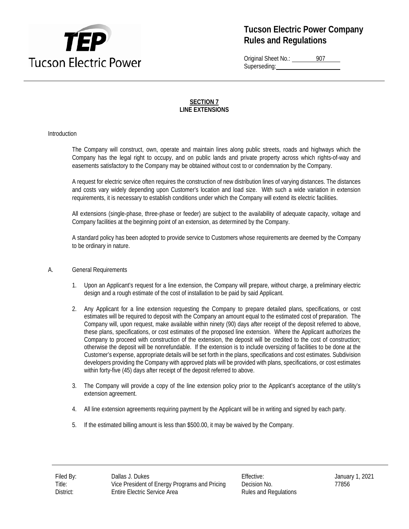

Original Sheet No.: 907 Superseding:

#### **SECTION 7 LINE EXTENSIONS**

#### Introduction

The Company will construct, own, operate and maintain lines along public streets, roads and highways which the Company has the legal right to occupy, and on public lands and private property across which rights-of-way and easements satisfactory to the Company may be obtained without cost to or condemnation by the Company.

A request for electric service often requires the construction of new distribution lines of varying distances. The distances and costs vary widely depending upon Customer's location and load size. With such a wide variation in extension requirements, it is necessary to establish conditions under which the Company will extend its electric facilities.

All extensions (single-phase, three-phase or feeder) are subject to the availability of adequate capacity, voltage and Company facilities at the beginning point of an extension, as determined by the Company.

A standard policy has been adopted to provide service to Customers whose requirements are deemed by the Company to be ordinary in nature.

- A. General Requirements
	- 1. Upon an Applicant's request for a line extension, the Company will prepare, without charge, a preliminary electric design and a rough estimate of the cost of installation to be paid by said Applicant.
	- 2. Any Applicant for a line extension requesting the Company to prepare detailed plans, specifications, or cost estimates will be required to deposit with the Company an amount equal to the estimated cost of preparation. The Company will, upon request, make available within ninety (90) days after receipt of the deposit referred to above, these plans, specifications, or cost estimates of the proposed line extension. Where the Applicant authorizes the Company to proceed with construction of the extension, the deposit will be credited to the cost of construction; otherwise the deposit will be nonrefundable. If the extension is to include oversizing of facilities to be done at the Customer's expense, appropriate details will be set forth in the plans, specifications and cost estimates. Subdivision developers providing the Company with approved plats will be provided with plans, specifications, or cost estimates within forty-five (45) days after receipt of the deposit referred to above.
	- 3. The Company will provide a copy of the line extension policy prior to the Applicant's acceptance of the utility's extension agreement.
	- 4. All line extension agreements requiring payment by the Applicant will be in writing and signed by each party.
	- 5. If the estimated billing amount is less than \$500.00, it may be waived by the Company.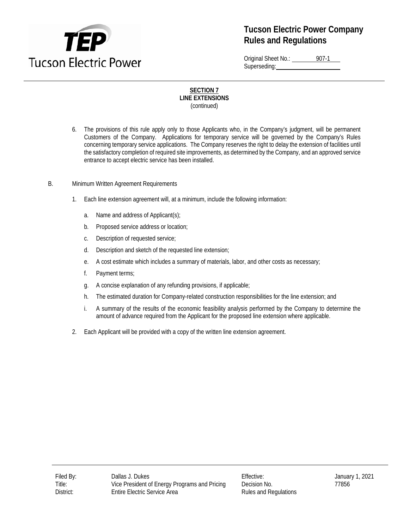

Original Sheet No.: 907-1 Superseding:

- 6. The provisions of this rule apply only to those Applicants who, in the Company's judgment, will be permanent Customers of the Company. Applications for temporary service will be governed by the Company's Rules concerning temporary service applications. The Company reserves the right to delay the extension of facilities until the satisfactory completion of required site improvements, as determined by the Company, and an approved service entrance to accept electric service has been installed.
- B. Minimum Written Agreement Requirements
	- 1. Each line extension agreement will, at a minimum, include the following information:
		- a. Name and address of Applicant(s);
		- b. Proposed service address or location;
		- c. Description of requested service;
		- d. Description and sketch of the requested line extension;
		- e. A cost estimate which includes a summary of materials, labor, and other costs as necessary;
		- f. Payment terms;
		- g. A concise explanation of any refunding provisions, if applicable;
		- h. The estimated duration for Company-related construction responsibilities for the line extension; and
		- i. A summary of the results of the economic feasibility analysis performed by the Company to determine the amount of advance required from the Applicant for the proposed line extension where applicable.
	- 2. Each Applicant will be provided with a copy of the written line extension agreement.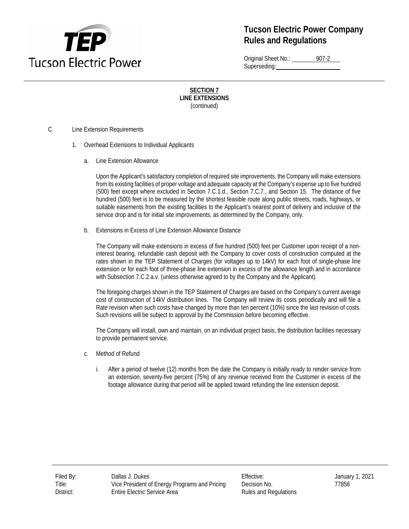

Original Sheet No.: 907-2 Superseding:

**SECTION 7 LINE EXTENSIONS** (continued)

- C. Line Extension Requirements
	- 1. Overhead Extensions to Individual Applicants
		- a. Line Extension Allowance

Upon the Applicant's satisfactory completion of required site improvements, the Company will make extensions from its existing facilities of proper voltage and adequate capacity at the Company's expense up to five hundred (500) feet except where excluded in Section 7.C.1.d., Section 7.C.7., and Section 15. The distance of five hundred (500) feet is to be measured by the shortest feasible route along public streets, roads, highways, or suitable easements from the existing facilities to the Applicant's nearest point of delivery and inclusive of the service drop and is for initial site improvements, as determined by the Company, only.

b. Extensions in Excess of Line Extension Allowance Distance

The Company will make extensions in excess of five hundred (500) feet per Customer upon receipt of a noninterest bearing, refundable cash deposit with the Company to cover costs of construction computed at the rates shown in the TEP Statement of Charges (for voltages up to 14kV) for each foot of single-phase line extension or for each foot of three-phase line extension in excess of the allowance length and in accordance with Subsection 7.C.2.a.v. (unless otherwise agreed to by the Company and the Applicant).

The foregoing charges shown in the TEP Statement of Charges are based on the Company's current average cost of construction of 14kV distribution lines. The Company will review its costs periodically and will file a Rate revision when such costs have changed by more than ten percent (10%) since the last revision of costs. Such revisions will be subject to approval by the Commission before becoming effective.

The Company will install, own and maintain, on an individual project basis, the distribution facilities necessary to provide permanent service.

- c. Method of Refund
	- i. After a period of twelve (12) months from the date the Company is initially ready to render service from an extension, seventy-five percent (75%) of any revenue received from the Customer in excess of the footage allowance during that period will be applied toward refunding the line extension deposit.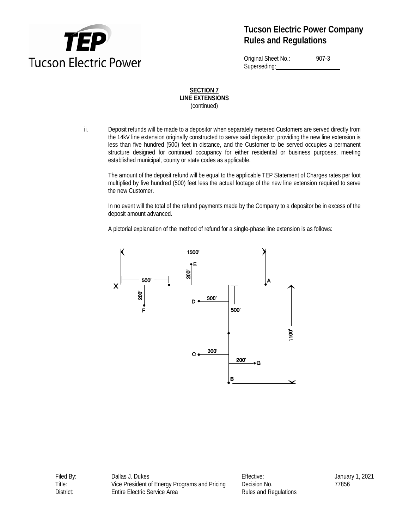

Original Sheet No.: 907-3 Superseding:

### **SECTION 7 LINE EXTENSIONS** (continued)

ii. Deposit refunds will be made to a depositor when separately metered Customers are served directly from the 14kV line extension originally constructed to serve said depositor, providing the new line extension is less than five hundred (500) feet in distance, and the Customer to be served occupies a permanent structure designed for continued occupancy for either residential or business purposes, meeting established municipal, county or state codes as applicable.

The amount of the deposit refund will be equal to the applicable TEP Statement of Charges rates per foot multiplied by five hundred (500) feet less the actual footage of the new line extension required to serve the new Customer.

In no event will the total of the refund payments made by the Company to a depositor be in excess of the deposit amount advanced.

A pictorial explanation of the method of refund for a single-phase line extension is as follows:



Filed By: Callas J. Dukes Effective: Effective: January 1, 2021 Title: Vice President of Energy Programs and Pricing Decision No. 77856 District: Entire Electric Service Area Rules and Regulations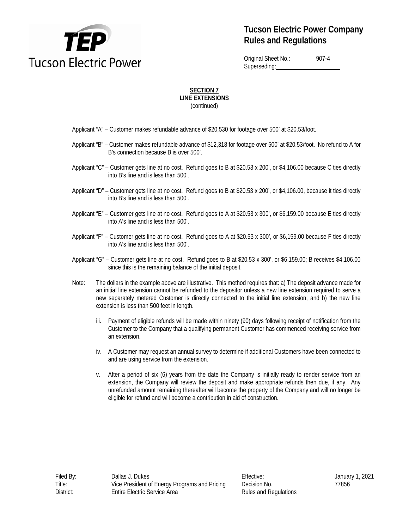

Original Sheet No.: 907-4 Superseding:

- Applicant "A" Customer makes refundable advance of \$20,530 for footage over 500' at \$20.53/foot.
- Applicant "B" Customer makes refundable advance of \$12,318 for footage over 500' at \$20.53/foot. No refund to A for B's connection because B is over 500'.
- Applicant "C" Customer gets line at no cost. Refund goes to B at \$20.53 x 200', or \$4,106.00 because C ties directly into B's line and is less than 500'.
- Applicant "D" Customer gets line at no cost. Refund goes to B at \$20.53 x 200', or \$4,106.00, because it ties directly into B's line and is less than 500'.
- Applicant "E" Customer gets line at no cost. Refund goes to A at \$20.53 x 300', or \$6,159.00 because E ties directly into A's line and is less than 500'.
- Applicant "F" Customer gets line at no cost. Refund goes to A at \$20.53 x 300', or \$6,159.00 because F ties directly into A's line and is less than 500'.
- Applicant "G" Customer gets line at no cost. Refund goes to B at \$20.53 x 300', or \$6,159.00; B receives \$4,106.00 since this is the remaining balance of the initial deposit.
- Note: The dollars in the example above are illustrative. This method requires that: a) The deposit advance made for an initial line extension cannot be refunded to the depositor unless a new line extension required to serve a new separately metered Customer is directly connected to the initial line extension; and b) the new line extension is less than 500 feet in length.
	- iii. Payment of eligible refunds will be made within ninety (90) days following receipt of notification from the Customer to the Company that a qualifying permanent Customer has commenced receiving service from an extension.
	- iv. A Customer may request an annual survey to determine if additional Customers have been connected to and are using service from the extension.
	- v. After a period of six (6) years from the date the Company is initially ready to render service from an extension, the Company will review the deposit and make appropriate refunds then due, if any. Any unrefunded amount remaining thereafter will become the property of the Company and will no longer be eligible for refund and will become a contribution in aid of construction.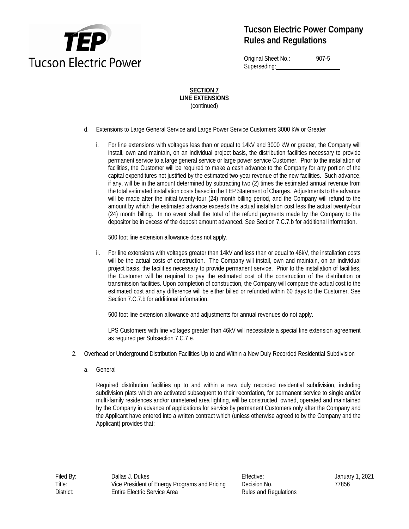

Original Sheet No.: 907-5 Superseding:

### **SECTION 7 LINE EXTENSIONS** (continued)

- d. Extensions to Large General Service and Large Power Service Customers 3000 kW or Greater
	- i. For line extensions with voltages less than or equal to 14kV and 3000 kW or greater, the Company will install, own and maintain, on an individual project basis, the distribution facilities necessary to provide permanent service to a large general service or large power service Customer. Prior to the installation of facilities, the Customer will be required to make a cash advance to the Company for any portion of the capital expenditures not justified by the estimated two-year revenue of the new facilities. Such advance, if any, will be in the amount determined by subtracting two (2) times the estimated annual revenue from the total estimated installation costs based in the TEP Statement of Charges. Adjustments to the advance will be made after the initial twenty-four (24) month billing period, and the Company will refund to the amount by which the estimated advance exceeds the actual installation cost less the actual twenty-four (24) month billing. In no event shall the total of the refund payments made by the Company to the depositor be in excess of the deposit amount advanced. See Section 7.C.7.b for additional information.

500 foot line extension allowance does not apply.

ii. For line extensions with voltages greater than 14kV and less than or equal to 46kV, the installation costs will be the actual costs of construction. The Company will install, own and maintain, on an individual project basis, the facilities necessary to provide permanent service. Prior to the installation of facilities, the Customer will be required to pay the estimated cost of the construction of the distribution or transmission facilities. Upon completion of construction, the Company will compare the actual cost to the estimated cost and any difference will be either billed or refunded within 60 days to the Customer. See Section 7.C.7.b for additional information.

500 foot line extension allowance and adjustments for annual revenues do not apply.

LPS Customers with line voltages greater than 46kV will necessitate a special line extension agreement as required per Subsection 7.C.7.e.

- 2. Overhead or Underground Distribution Facilities Up to and Within a New Duly Recorded Residential Subdivision
	- a. General

Required distribution facilities up to and within a new duly recorded residential subdivision, including subdivision plats which are activated subsequent to their recordation, for permanent service to single and/or multi-family residences and/or unmetered area lighting, will be constructed, owned, operated and maintained by the Company in advance of applications for service by permanent Customers only after the Company and the Applicant have entered into a written contract which (unless otherwise agreed to by the Company and the Applicant) provides that:

Title: Vice President of Energy Programs and Pricing Decision No. 77856 District: Entire Electric Service Area **Rules and Regulations**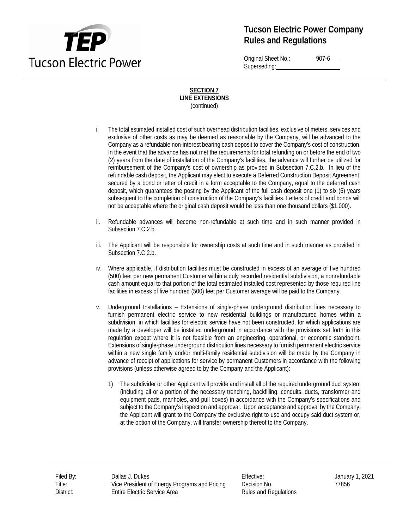

Original Sheet No.: 907-6 Superseding:

- i. The total estimated installed cost of such overhead distribution facilities, exclusive of meters, services and exclusive of other costs as may be deemed as reasonable by the Company, will be advanced to the Company as a refundable non-interest bearing cash deposit to cover the Company's cost of construction. In the event that the advance has not met the requirements for total refunding on or before the end of two (2) years from the date of installation of the Company's facilities, the advance will further be utilized for reimbursement of the Company's cost of ownership as provided in Subsection 7.C.2.b. In lieu of the refundable cash deposit, the Applicant may elect to execute a Deferred Construction Deposit Agreement, secured by a bond or letter of credit in a form acceptable to the Company, equal to the deferred cash deposit, which guarantees the posting by the Applicant of the full cash deposit one (1) to six (6) years subsequent to the completion of construction of the Company's facilities. Letters of credit and bonds will not be acceptable where the original cash deposit would be less than one thousand dollars (\$1,000).
- ii. Refundable advances will become non-refundable at such time and in such manner provided in Subsection 7.C.2.b.
- iii. The Applicant will be responsible for ownership costs at such time and in such manner as provided in Subsection 7.C.2.b.
- iv. Where applicable, if distribution facilities must be constructed in excess of an average of five hundred (500) feet per new permanent Customer within a duly recorded residential subdivision, a nonrefundable cash amount equal to that portion of the total estimated installed cost represented by those required line facilities in excess of five hundred (500) feet per Customer average will be paid to the Company.
- v. Underground Installations Extensions of single-phase underground distribution lines necessary to furnish permanent electric service to new residential buildings or manufactured homes within a subdivision, in which facilities for electric service have not been constructed, for which applications are made by a developer will be installed underground in accordance with the provisions set forth in this regulation except where it is not feasible from an engineering, operational, or economic standpoint. Extensions of single-phase underground distribution lines necessary to furnish permanent electric service within a new single family and/or multi-family residential subdivision will be made by the Company in advance of receipt of applications for service by permanent Customers in accordance with the following provisions (unless otherwise agreed to by the Company and the Applicant):
	- 1) The subdivider or other Applicant will provide and install all of the required underground duct system (including all or a portion of the necessary trenching, backfilling, conduits, ducts, transformer and equipment pads, manholes, and pull boxes) in accordance with the Company's specifications and subject to the Company's inspection and approval. Upon acceptance and approval by the Company, the Applicant will grant to the Company the exclusive right to use and occupy said duct system or, at the option of the Company, will transfer ownership thereof to the Company.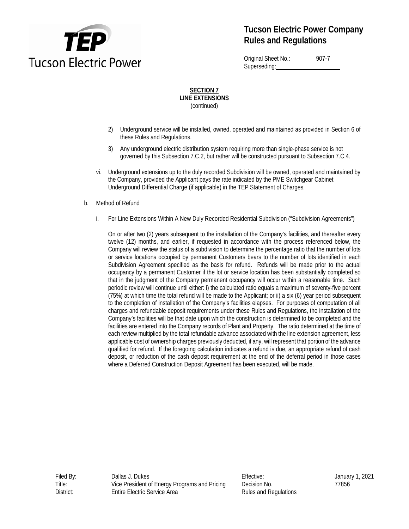

Original Sheet No.: 907-7 Superseding:

### **SECTION 7 LINE EXTENSIONS** (continued)

- 2) Underground service will be installed, owned, operated and maintained as provided in Section 6 of these Rules and Regulations.
- 3) Any underground electric distribution system requiring more than single-phase service is not governed by this Subsection 7.C.2, but rather will be constructed pursuant to Subsection 7.C.4.
- vi. Underground extensions up to the duly recorded Subdivision will be owned, operated and maintained by the Company, provided the Applicant pays the rate indicated by the PME Switchgear Cabinet Underground Differential Charge (if applicable) in the TEP Statement of Charges.
- b. Method of Refund
	- i. For Line Extensions Within A New Duly Recorded Residential Subdivision ("Subdivision Agreements")

On or after two (2) years subsequent to the installation of the Company's facilities, and thereafter every twelve (12) months, and earlier, if requested in accordance with the process referenced below, the Company will review the status of a subdivision to determine the percentage ratio that the number of lots or service locations occupied by permanent Customers bears to the number of lots identified in each Subdivision Agreement specified as the basis for refund. Refunds will be made prior to the actual occupancy by a permanent Customer if the lot or service location has been substantially completed so that in the judgment of the Company permanent occupancy will occur within a reasonable time. Such periodic review will continue until either: i) the calculated ratio equals a maximum of seventy-five percent (75%) at which time the total refund will be made to the Applicant; or ii) a six (6) year period subsequent to the completion of installation of the Company's facilities elapses. For purposes of computation of all charges and refundable deposit requirements under these Rules and Regulations, the installation of the Company's facilities will be that date upon which the construction is determined to be completed and the facilities are entered into the Company records of Plant and Property. The ratio determined at the time of each review multiplied by the total refundable advance associated with the line extension agreement, less applicable cost of ownership charges previously deducted, if any, will represent that portion of the advance qualified for refund. If the foregoing calculation indicates a refund is due, an appropriate refund of cash deposit, or reduction of the cash deposit requirement at the end of the deferral period in those cases where a Deferred Construction Deposit Agreement has been executed, will be made.

Filed By: Dallas J. Dukes Effective: January 1, 2021 Title: Vice President of Energy Programs and Pricing Decision No. 77856 District: Entire Electric Service Area **Rules and Regulations**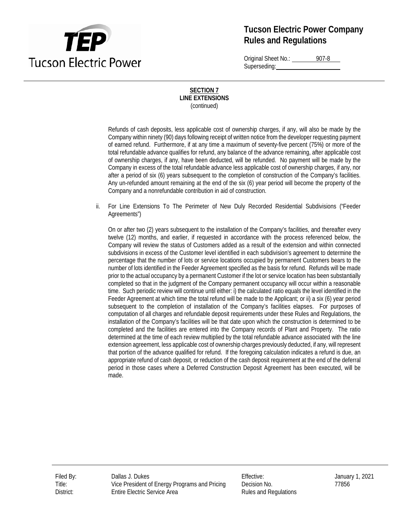

Original Sheet No.: 907-8 Superseding:

### **SECTION 7 LINE EXTENSIONS** (continued)

Refunds of cash deposits, less applicable cost of ownership charges, if any, will also be made by the Company within ninety (90) days following receipt of written notice from the developer requesting payment of earned refund. Furthermore, if at any time a maximum of seventy-five percent (75%) or more of the total refundable advance qualifies for refund, any balance of the advance remaining, after applicable cost of ownership charges, if any, have been deducted, will be refunded. No payment will be made by the Company in excess of the total refundable advance less applicable cost of ownership charges, if any, nor after a period of six (6) years subsequent to the completion of construction of the Company's facilities. Any un-refunded amount remaining at the end of the six (6) year period will become the property of the Company and a nonrefundable contribution in aid of construction.

ii. For Line Extensions To The Perimeter of New Duly Recorded Residential Subdivisions ("Feeder Agreements")

On or after two (2) years subsequent to the installation of the Company's facilities, and thereafter every twelve (12) months, and earlier, if requested in accordance with the process referenced below, the Company will review the status of Customers added as a result of the extension and within connected subdivisions in excess of the Customer level identified in each subdivision's agreement to determine the percentage that the number of lots or service locations occupied by permanent Customers bears to the number of lots identified in the Feeder Agreement specified as the basis for refund. Refunds will be made prior to the actual occupancy by a permanent Customer if the lot or service location has been substantially completed so that in the judgment of the Company permanent occupancy will occur within a reasonable time. Such periodic review will continue until either: i) the calculated ratio equals the level identified in the Feeder Agreement at which time the total refund will be made to the Applicant; or ii) a six (6) year period subsequent to the completion of installation of the Company's facilities elapses. For purposes of computation of all charges and refundable deposit requirements under these Rules and Regulations, the installation of the Company's facilities will be that date upon which the construction is determined to be completed and the facilities are entered into the Company records of Plant and Property. The ratio determined at the time of each review multiplied by the total refundable advance associated with the line extension agreement, less applicable cost of ownership charges previously deducted, if any, will represent that portion of the advance qualified for refund. If the foregoing calculation indicates a refund is due, an appropriate refund of cash deposit, or reduction of the cash deposit requirement at the end of the deferral period in those cases where a Deferred Construction Deposit Agreement has been executed, will be made.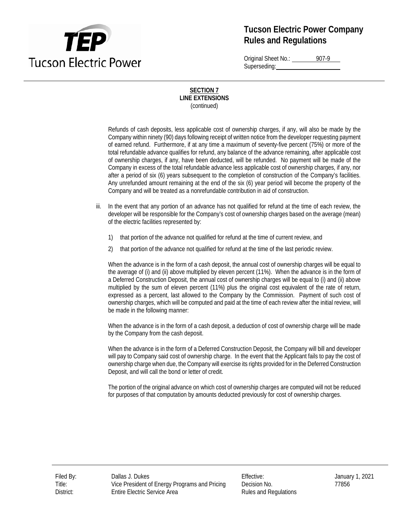

Original Sheet No.: 907-9 Superseding:

### **SECTION 7 LINE EXTENSIONS** (continued)

Refunds of cash deposits, less applicable cost of ownership charges, if any, will also be made by the Company within ninety (90) days following receipt of written notice from the developer requesting payment of earned refund. Furthermore, if at any time a maximum of seventy-five percent (75%) or more of the total refundable advance qualifies for refund, any balance of the advance remaining, after applicable cost of ownership charges, if any, have been deducted, will be refunded. No payment will be made of the Company in excess of the total refundable advance less applicable cost of ownership charges, if any, nor after a period of six (6) years subsequent to the completion of construction of the Company's facilities. Any unrefunded amount remaining at the end of the six (6) year period will become the property of the Company and will be treated as a nonrefundable contribution in aid of construction.

- iii. In the event that any portion of an advance has not qualified for refund at the time of each review, the developer will be responsible for the Company's cost of ownership charges based on the average (mean) of the electric facilities represented by:
	- 1) that portion of the advance not qualified for refund at the time of current review, and
	- 2) that portion of the advance not qualified for refund at the time of the last periodic review.

When the advance is in the form of a cash deposit, the annual cost of ownership charges will be equal to the average of (i) and (ii) above multiplied by eleven percent (11%). When the advance is in the form of a Deferred Construction Deposit, the annual cost of ownership charges will be equal to (i) and (ii) above multiplied by the sum of eleven percent (11%) plus the original cost equivalent of the rate of return, expressed as a percent, last allowed to the Company by the Commission. Payment of such cost of ownership charges, which will be computed and paid at the time of each review after the initial review, will be made in the following manner:

When the advance is in the form of a cash deposit, a deduction of cost of ownership charge will be made by the Company from the cash deposit.

When the advance is in the form of a Deferred Construction Deposit, the Company will bill and developer will pay to Company said cost of ownership charge. In the event that the Applicant fails to pay the cost of ownership charge when due, the Company will exercise its rights provided for in the Deferred Construction Deposit, and will call the bond or letter of credit.

The portion of the original advance on which cost of ownership charges are computed will not be reduced for purposes of that computation by amounts deducted previously for cost of ownership charges.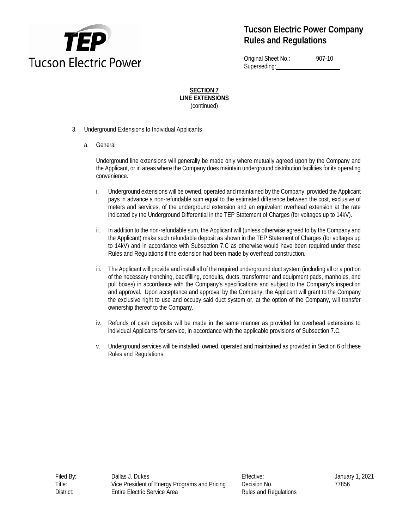

Original Sheet No.: 907-10 Superseding:

**SECTION 7 LINE EXTENSIONS** (continued)

- 3. Underground Extensions to Individual Applicants
	- a. General

Underground line extensions will generally be made only where mutually agreed upon by the Company and the Applicant, or in areas where the Company does maintain underground distribution facilities for its operating convenience.

- i. Underground extensions will be owned, operated and maintained by the Company, provided the Applicant pays in advance a non-refundable sum equal to the estimated difference between the cost, exclusive of meters and services, of the underground extension and an equivalent overhead extension at the rate indicated by the Underground Differential in the TEP Statement of Charges (for voltages up to 14kV).
- ii. In addition to the non-refundable sum, the Applicant will (unless otherwise agreed to by the Company and the Applicant) make such refundable deposit as shown in the TEP Statement of Charges (for voltages up to 14kV) and in accordance with Subsection 7.C as otherwise would have been required under these Rules and Regulations if the extension had been made by overhead construction.
- iii. The Applicant will provide and install all of the required underground duct system (including all or a portion of the necessary trenching, backfilling, conduits, ducts, transformer and equipment pads, manholes, and pull boxes) in accordance with the Company's specifications and subject to the Company's inspection and approval. Upon acceptance and approval by the Company, the Applicant will grant to the Company the exclusive right to use and occupy said duct system or, at the option of the Company, will transfer ownership thereof to the Company.
- iv. Refunds of cash deposits will be made in the same manner as provided for overhead extensions to individual Applicants for service, in accordance with the applicable provisions of Subsection 7.C.
- v. Underground services will be installed, owned, operated and maintained as provided in Section 6 of these Rules and Regulations.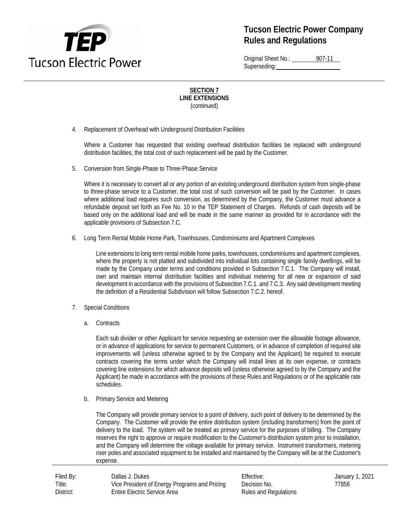

Original Sheet No.: 907-11 Superseding:

### **SECTION 7 LINE EXTENSIONS** (continued)

4. Replacement of Overhead with Underground Distribution Facilities

Where a Customer has requested that existing overhead distribution facilities be replaced with underground distribution facilities, the total cost of such replacement will be paid by the Customer.

5. Conversion from Single-Phase to Three-Phase Service

Where it is necessary to convert all or any portion of an existing underground distribution system from single-phase to three-phase service to a Customer, the total cost of such conversion will be paid by the Customer. In cases where additional load requires such conversion, as determined by the Company, the Customer must advance a refundable deposit set forth as Fee No. 10 in the TEP Statement of Charges. Refunds of cash deposits will be based only on the additional load and will be made in the same manner as provided for in accordance with the applicable provisions of Subsection 7.C.

6. Long Term Rental Mobile Home Park, Townhouses, Condominiums and Apartment Complexes

Line extensions to long term rental mobile home parks, townhouses, condominiums and apartment complexes, where the property is not platted and subdivided into individual lots containing single family dwellings, will be made by the Company under terms and conditions provided in Subsection 7.C.1. The Company will install, own and maintain internal distribution facilities and individual metering for all new or expansion of said development in accordance with the provisions of Subsection 7.C.1. and 7.C.3. Any said development meeting the definition of a Residential Subdivision will follow Subsection 7.C.2. hereof.

- 7. Special Conditions
	- a. Contracts

Each sub divider or other Applicant for service requesting an extension over the allowable footage allowance, or in advance of applications for service to permanent Customers, or in advance of completion of required site improvements will (unless otherwise agreed to by the Company and the Applicant) be required to execute contracts covering the terms under which the Company will install lines at its own expense, or contracts covering line extensions for which advance deposits will (unless otherwise agreed to by the Company and the Applicant) be made in accordance with the provisions of these Rules and Regulations or of the applicable rate schedules.

b. Primary Service and Metering

The Company will provide primary service to a point of delivery, such point of delivery to be determined by the Company. The Customer will provide the entire distribution system (including transformers) from the point of delivery to the load. The system will be treated as primary service for the purposes of billing. The Company reserves the right to approve or require modification to the Customer's distribution system prior to installation, and the Company will determine the voltage available for primary service. Instrument transformers, metering riser poles and associated equipment to be installed and maintained by the Company will be at the Customer's expense.

| Filed By: | Dallas J. Dukes                               | Effective:            | Janua |
|-----------|-----------------------------------------------|-----------------------|-------|
| Title:    | Vice President of Energy Programs and Pricing | Decision No.          | 77856 |
| District: | <b>Entire Electric Service Area</b>           | Rules and Regulations |       |

Effective: January 1, 2021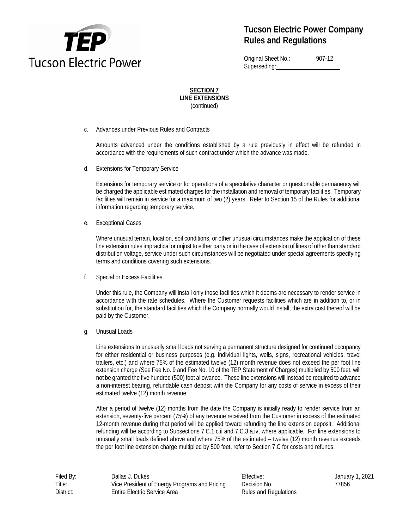

Original Sheet No.: 907-12 Superseding:

### **SECTION 7 LINE EXTENSIONS** (continued)

c. Advances under Previous Rules and Contracts

Amounts advanced under the conditions established by a rule previously in effect will be refunded in accordance with the requirements of such contract under which the advance was made.

d. Extensions for Temporary Service

Extensions for temporary service or for operations of a speculative character or questionable permanency will be charged the applicable estimated charges for the installation and removal of temporary facilities. Temporary facilities will remain in service for a maximum of two (2) years. Refer to Section 15 of the Rules for additional information regarding temporary service.

e. Exceptional Cases

Where unusual terrain, location, soil conditions, or other unusual circumstances make the application of these line extension rules impractical or unjust to either party or in the case of extension of lines of other than standard distribution voltage, service under such circumstances will be negotiated under special agreements specifying terms and conditions covering such extensions.

f. Special or Excess Facilities

Under this rule, the Company will install only those facilities which it deems are necessary to render service in accordance with the rate schedules. Where the Customer requests facilities which are in addition to, or in substitution for, the standard facilities which the Company normally would install, the extra cost thereof will be paid by the Customer.

g. Unusual Loads

Line extensions to unusually small loads not serving a permanent structure designed for continued occupancy for either residential or business purposes (e.g. individual lights, wells, signs, recreational vehicles, travel trailers, etc.) and where 75% of the estimated twelve (12) month revenue does not exceed the per foot line extension charge (See Fee No. 9 and Fee No. 10 of the TEP Statement of Charges) multiplied by 500 feet, will not be granted the five hundred (500) foot allowance. These line extensions will instead be required to advance a non-interest bearing, refundable cash deposit with the Company for any costs of service in excess of their estimated twelve (12) month revenue.

After a period of twelve (12) months from the date the Company is initially ready to render service from an extension, seventy-five percent (75%) of any revenue received from the Customer in excess of the estimated 12-month revenue during that period will be applied toward refunding the line extension deposit. Additional refunding will be according to Subsections 7.C.1.c.ii and 7.C.3.a.iv, where applicable. For line extensions to unusually small loads defined above and where 75% of the estimated – twelve (12) month revenue exceeds the per foot line extension charge multiplied by 500 feet, refer to Section 7.C for costs and refunds.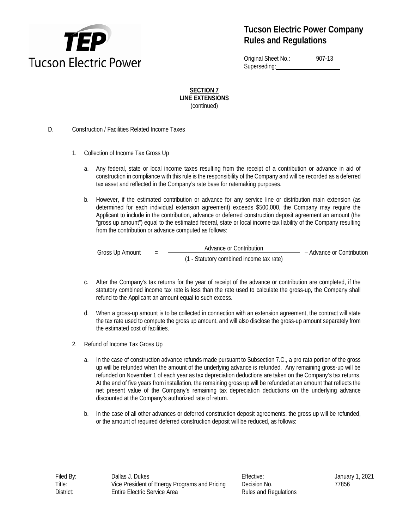

Original Sheet No.: 907-13 Superseding:

**SECTION 7 LINE EXTENSIONS** (continued)

D. Construction / Facilities Related Income Taxes

- 1. Collection of Income Tax Gross Up
	- a. Any federal, state or local income taxes resulting from the receipt of a contribution or advance in aid of construction in compliance with this rule is the responsibility of the Company and will be recorded as a deferred tax asset and reflected in the Company's rate base for ratemaking purposes.
	- b. However, if the estimated contribution or advance for any service line or distribution main extension (as determined for each individual extension agreement) exceeds \$500,000, the Company may require the Applicant to include in the contribution, advance or deferred construction deposit agreement an amount (the "gross up amount") equal to the estimated federal, state or local income tax liability of the Company resulting from the contribution or advance computed as follows:

Gross Up Amount = Advance or Contribution – Advance or Contribution (1 - Statutory combined income tax rate)

- c. After the Company's tax returns for the year of receipt of the advance or contribution are completed, if the statutory combined income tax rate is less than the rate used to calculate the gross-up, the Company shall refund to the Applicant an amount equal to such excess.
- d. When a gross-up amount is to be collected in connection with an extension agreement, the contract will state the tax rate used to compute the gross up amount, and will also disclose the gross-up amount separately from the estimated cost of facilities.
- 2. Refund of Income Tax Gross Up
	- a. In the case of construction advance refunds made pursuant to Subsection 7.C., a pro rata portion of the gross up will be refunded when the amount of the underlying advance is refunded. Any remaining gross-up will be refunded on November 1 of each year as tax depreciation deductions are taken on the Company's tax returns. At the end of five years from installation, the remaining gross up will be refunded at an amount that reflects the net present value of the Company's remaining tax depreciation deductions on the underlying advance discounted at the Company's authorized rate of return.
	- b. In the case of all other advances or deferred construction deposit agreements, the gross up will be refunded, or the amount of required deferred construction deposit will be reduced, as follows: